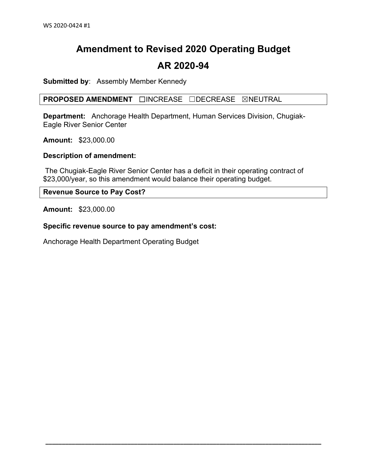# **Amendment to Revised 2020 Operating Budget**

### **AR 2020-94**

**Submitted by**: Assembly Member Kennedy

**PROPOSED AMENDMENT** ☐INCREASE ☐DECREASE ☒NEUTRAL

**Department:** Anchorage Health Department, Human Services Division, Chugiak-Eagle River Senior Center

**Amount:** \$23,000.00

**Description of amendment:**

The Chugiak-Eagle River Senior Center has a deficit in their operating contract of \$23,000/year, so this amendment would balance their operating budget.

**\_\_\_\_\_\_\_\_\_\_\_\_\_\_\_\_\_\_\_\_\_\_\_\_\_\_\_\_\_\_\_\_\_\_\_\_\_\_\_\_\_\_\_\_\_\_\_\_\_\_\_\_\_\_\_\_\_\_\_\_\_\_\_\_\_\_\_\_\_\_\_\_\_\_\_\_\_\_\_\_\_\_\_\_**

**Revenue Source to Pay Cost?** 

**Amount:** \$23,000.00

**Specific revenue source to pay amendment's cost:**

Anchorage Health Department Operating Budget